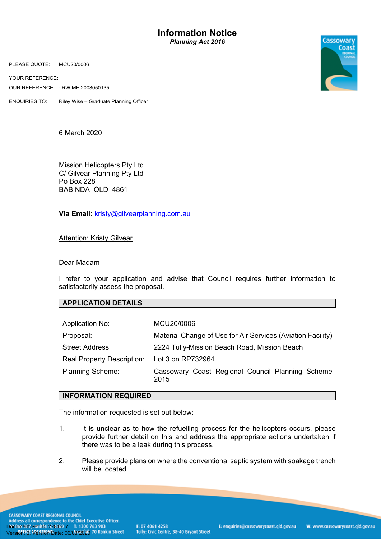**Information Notice** *Planning Act 2016*

PLEASE QUOTE: MCU20/0006

YOUR REFERENCE:

OUR REFERENCE: : RW:ME:2003050135

ENQUIRIES TO: Riley Wise – Graduate Planning Officer

6 March 2020

Mission Helicopters Pty Ltd C/ Gilvear Planning Pty Ltd Po Box 228 BABINDA QLD 4861

**Via Email:** kristy@gilvearplanning.com.au

## Attention: Kristy Gilvear

## Dear Madam

I refer to your application and advise that Council requires further information to satisfactorily assess the proposal.

## **APPLICATION DETAILS**

| Application No:                   | MCU20/0006                                                  |
|-----------------------------------|-------------------------------------------------------------|
| Proposal:                         | Material Change of Use for Air Services (Aviation Facility) |
| <b>Street Address:</b>            | 2224 Tully-Mission Beach Road, Mission Beach                |
| <b>Real Property Description:</b> | Lot 3 on RP732964                                           |
| <b>Planning Scheme:</b>           | Cassowary Coast Regional Council Planning Scheme<br>2015    |

## **INFORMATION REQUIRED**

The information requested is set out below:

- 1. It is unclear as to how the refuelling process for the helicopters occurs, please provide further detail on this and address the appropriate actions undertaken if there was to be a leak during this process.
- 2. Please provide plans on where the conventional septic system with soakage trench will be located.

**CASSOWARY COAST REGIONAL COUNCIL** Address all correspondence to the Chief Executive Officer. Document Set ID: 2781617 1: 1300 763 903<br>Version: 3, Version Date: 06/03/2020 70 Rankin Street

W: www.cassowarycoast.qld.gov.au